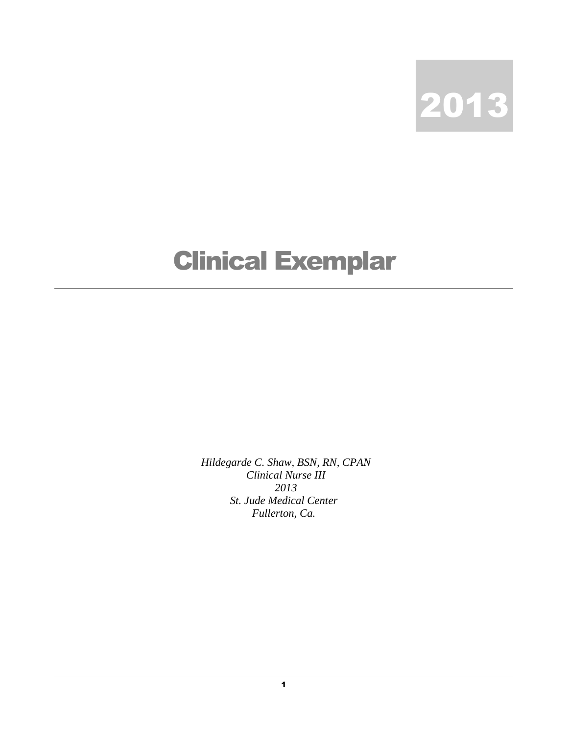

## Clinical Exemplar

*Hildegarde C. Shaw, BSN, RN, CPAN Clinical Nurse III 2013 St. Jude Medical Center Fullerton, Ca.*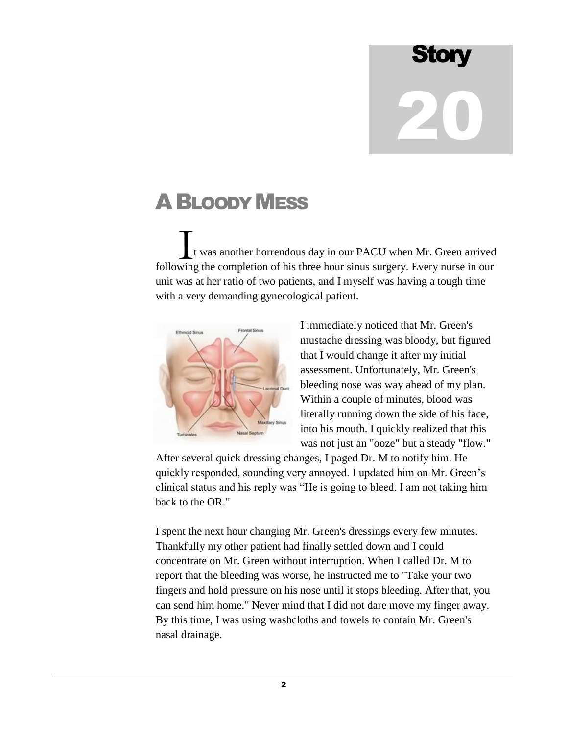## **Story** 20

## ABLOODY MESS

 t was another horrendous day in our PACU when Mr. Green arrived following the completion of his three hour sinus surgery. Every nurse in our unit was at her ratio of two patients, and I myself was having a tough time with a very demanding gynecological patient.  $\prod_{\text{win}}$ 



I immediately noticed that Mr. Green's mustache dressing was bloody, but figured that I would change it after my initial assessment. Unfortunately, Mr. Green's bleeding nose was way ahead of my plan. Within a couple of minutes, blood was literally running down the side of his face, into his mouth. I quickly realized that this was not just an "ooze" but a steady "flow."

After several quick dressing changes, I paged Dr. M to notify him. He quickly responded, sounding very annoyed. I updated him on Mr. Green's clinical status and his reply was "He is going to bleed. I am not taking him back to the OR."

I spent the next hour changing Mr. Green's dressings every few minutes. Thankfully my other patient had finally settled down and I could concentrate on Mr. Green without interruption. When I called Dr. M to report that the bleeding was worse, he instructed me to "Take your two fingers and hold pressure on his nose until it stops bleeding. After that, you can send him home." Never mind that I did not dare move my finger away. By this time, I was using washcloths and towels to contain Mr. Green's nasal drainage.